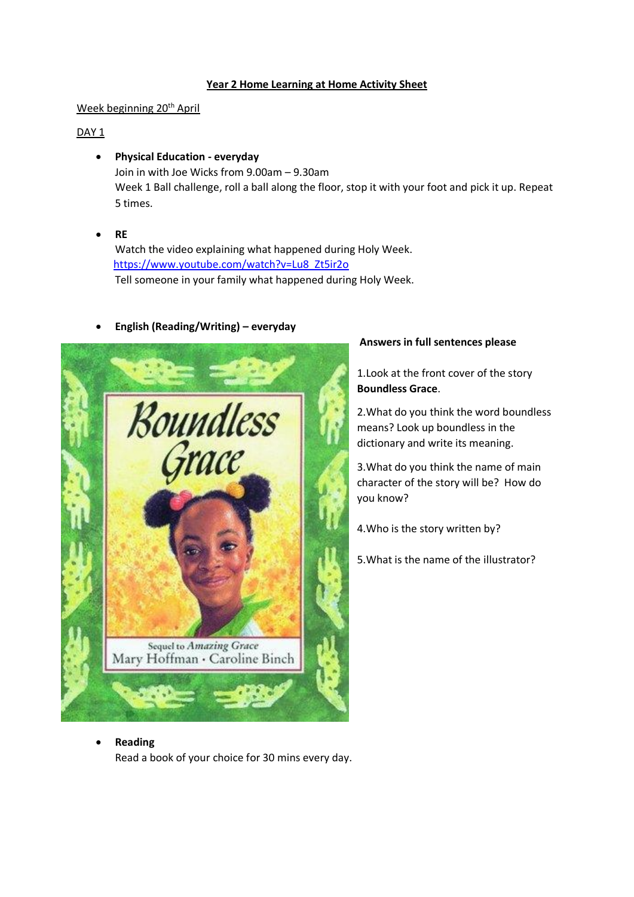#### **Year 2 Home Learning at Home Activity Sheet**

### Week beginning 20<sup>th</sup> April

### $DAY_1$

### **Physical Education - everyday**

Join in with Joe Wicks from 9.00am – 9.30am Week 1 Ball challenge, roll a ball along the floor, stop it with your foot and pick it up. Repeat 5 times.

**RE**

Watch the video explaining what happened during Holy Week. [https://www.youtube.com/watch?v=Lu8\\_Zt5ir2o](https://www.youtube.com/watch?v=Lu8_Zt5ir2o) Tell someone in your family what happened during Holy Week.

# **English (Reading/Writing) – everyday**



### **Answers in full sentences please**

1.Look at the front cover of the story **Boundless Grace**.

2.What do you think the word boundless means? Look up boundless in the dictionary and write its meaning.

3.What do you think the name of main character of the story will be? How do you know?

4.Who is the story written by?

5.What is the name of the illustrator?

# **•** Reading

Read a book of your choice for 30 mins every day.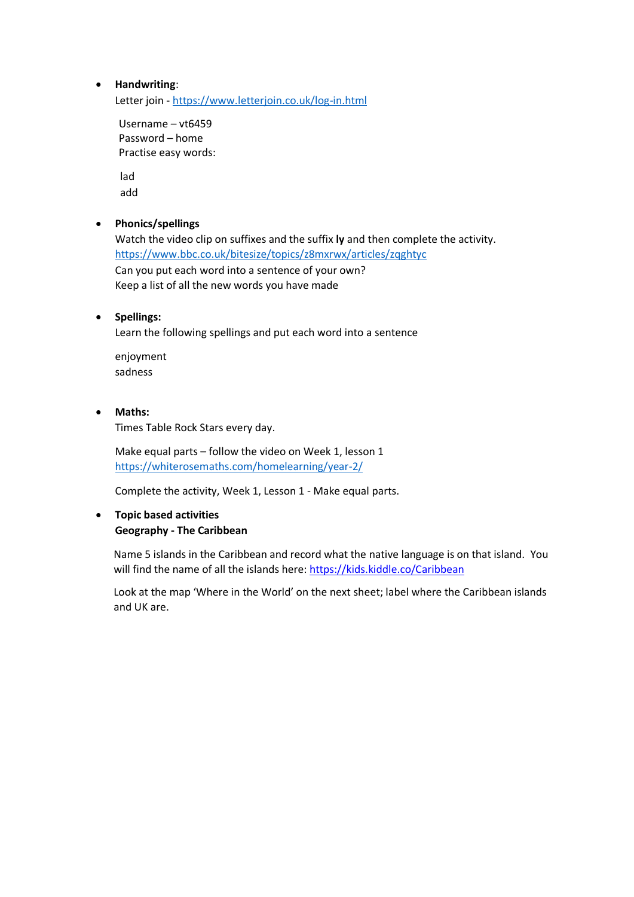### **Handwriting**:

Letter join - <https://www.letterjoin.co.uk/log-in.html>

 Username – vt6459 Password – home Practise easy words:

 lad add

### **Phonics/spellings**

Watch the video clip on suffixes and the suffix **ly** and then complete the activity. <https://www.bbc.co.uk/bitesize/topics/z8mxrwx/articles/zqghtyc> Can you put each word into a sentence of your own? Keep a list of all the new words you have made

### **Spellings:**

Learn the following spellings and put each word into a sentence

enjoyment sadness

# **Maths:**

Times Table Rock Stars every day.

Make equal parts – follow the video on Week 1, lesson 1 <https://whiterosemaths.com/homelearning/year-2/>

Complete the activity, Week 1, Lesson 1 - Make equal parts.

### **Topic based activities Geography - The Caribbean**

Name 5 islands in the Caribbean and record what the native language is on that island. You will find the name of all the islands here: <https://kids.kiddle.co/Caribbean>

Look at the map 'Where in the World' on the next sheet; label where the Caribbean islands and UK are.